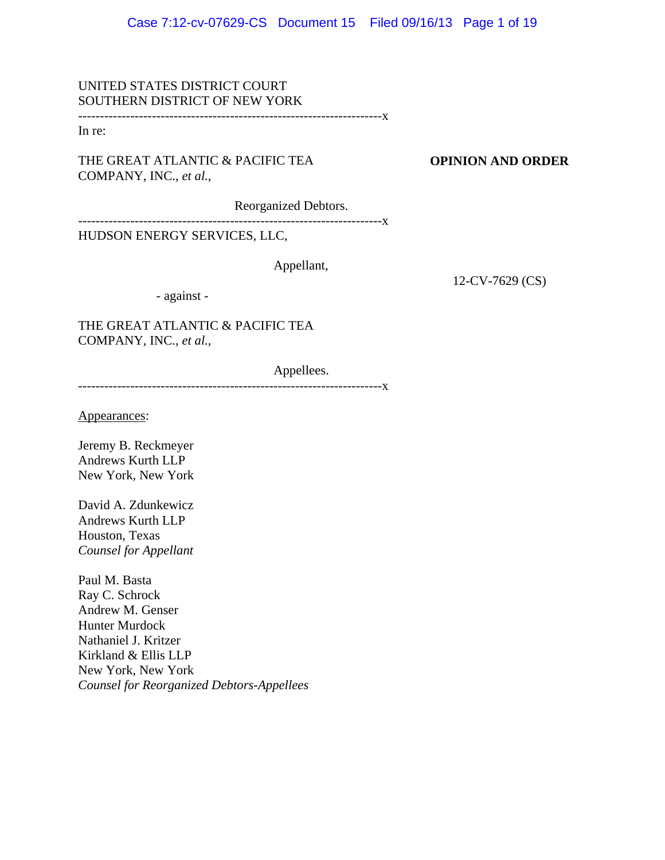UNITED STATES DISTRICT COURT SOUTHERN DISTRICT OF NEW YORK

----------------------------------------------------------------------x

In re:

THE GREAT ATLANTIC & PACIFIC TEA COMPANY, INC., *et al.*,

**OPINION AND ORDER**

Reorganized Debtors.

----------------------------------------------------------------------x

HUDSON ENERGY SERVICES, LLC,

Appellant,

12-CV-7629 (CS)

- against -

THE GREAT ATLANTIC & PACIFIC TEA COMPANY, INC., *et al.*,

Appellees.

----------------------------------------------------------------------x

Appearances:

Jeremy B. Reckmeyer Andrews Kurth LLP New York, New York

David A. Zdunkewicz Andrews Kurth LLP Houston, Texas *Counsel for Appellant*

Paul M. Basta Ray C. Schrock Andrew M. Genser Hunter Murdock Nathaniel J. Kritzer Kirkland & Ellis LLP New York, New York *Counsel for Reorganized Debtors-Appellees*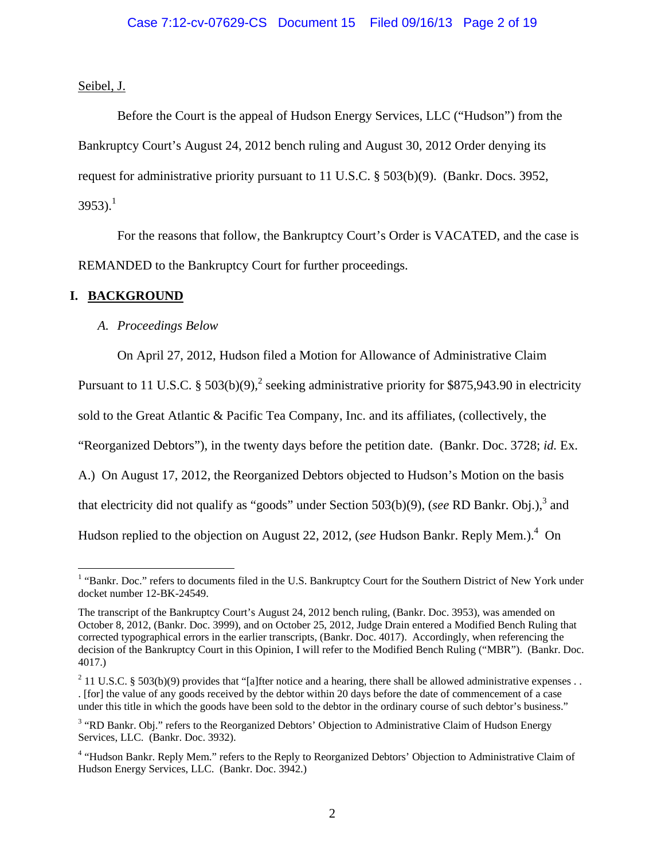Seibel, J.

Before the Court is the appeal of Hudson Energy Services, LLC ("Hudson") from the Bankruptcy Court's August 24, 2012 bench ruling and August 30, 2012 Order denying its request for administrative priority pursuant to 11 U.S.C. § 503(b)(9). (Bankr. Docs. 3952, 3953).<sup>1</sup>

For the reasons that follow, the Bankruptcy Court's Order is VACATED, and the case is REMANDED to the Bankruptcy Court for further proceedings.

# **I. BACKGROUND**

# *A. Proceedings Below*

On April 27, 2012, Hudson filed a Motion for Allowance of Administrative Claim

Pursuant to 11 U.S.C. § 503(b)(9),<sup>2</sup> seeking administrative priority for \$875,943.90 in electricity

sold to the Great Atlantic & Pacific Tea Company, Inc. and its affiliates, (collectively, the

"Reorganized Debtors"), in the twenty days before the petition date. (Bankr. Doc. 3728; *id.* Ex.

A.) On August 17, 2012, the Reorganized Debtors objected to Hudson's Motion on the basis

that electricity did not qualify as "goods" under Section 503(b)(9), (*see RD Bankr. Obj.*),<sup>3</sup> and

Hudson replied to the objection on August 22, 2012, (*see* Hudson Bankr. Reply Mem.).<sup>4</sup> On

<sup>&</sup>lt;sup>1</sup> "Bankr. Doc." refers to documents filed in the U.S. Bankruptcy Court for the Southern District of New York under docket number 12-BK-24549.

The transcript of the Bankruptcy Court's August 24, 2012 bench ruling, (Bankr. Doc. 3953), was amended on October 8, 2012, (Bankr. Doc. 3999), and on October 25, 2012, Judge Drain entered a Modified Bench Ruling that corrected typographical errors in the earlier transcripts, (Bankr. Doc. 4017). Accordingly, when referencing the decision of the Bankruptcy Court in this Opinion, I will refer to the Modified Bench Ruling ("MBR"). (Bankr. Doc. 4017.)

<sup>&</sup>lt;sup>2</sup> 11 U.S.C. § 503(b)(9) provides that "[a]fter notice and a hearing, there shall be allowed administrative expenses . . . [for] the value of any goods received by the debtor within 20 days before the date of commencement of a case under this title in which the goods have been sold to the debtor in the ordinary course of such debtor's business."

<sup>&</sup>lt;sup>3</sup> "RD Bankr. Obj." refers to the Reorganized Debtors' Objection to Administrative Claim of Hudson Energy Services, LLC. (Bankr. Doc. 3932).

<sup>&</sup>lt;sup>4</sup> "Hudson Bankr. Reply Mem." refers to the Reply to Reorganized Debtors' Objection to Administrative Claim of Hudson Energy Services, LLC. (Bankr. Doc. 3942.)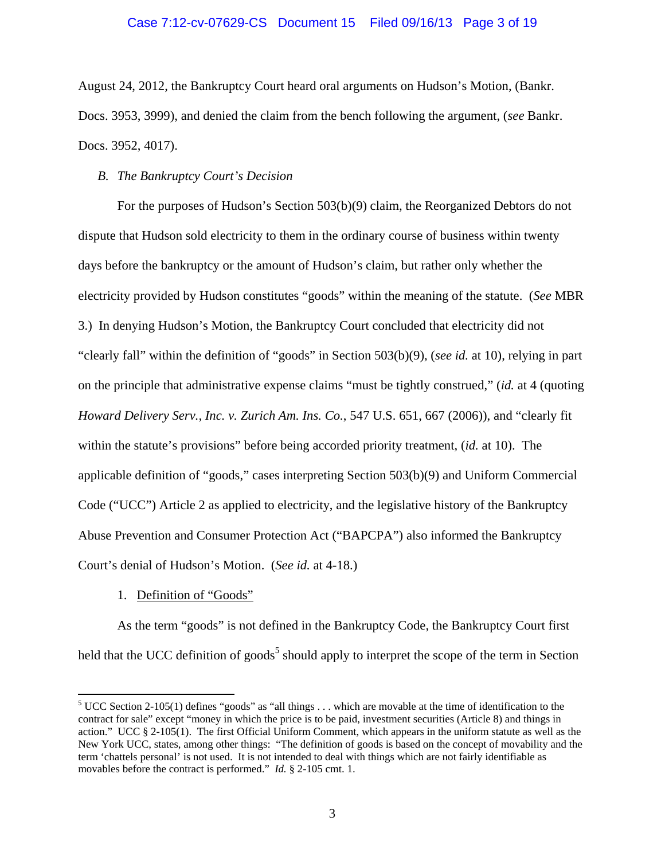August 24, 2012, the Bankruptcy Court heard oral arguments on Hudson's Motion, (Bankr. Docs. 3953, 3999), and denied the claim from the bench following the argument, (*see* Bankr. Docs. 3952, 4017).

## *B. The Bankruptcy Court's Decision*

For the purposes of Hudson's Section 503(b)(9) claim, the Reorganized Debtors do not dispute that Hudson sold electricity to them in the ordinary course of business within twenty days before the bankruptcy or the amount of Hudson's claim, but rather only whether the electricity provided by Hudson constitutes "goods" within the meaning of the statute. (*See* MBR 3.) In denying Hudson's Motion, the Bankruptcy Court concluded that electricity did not "clearly fall" within the definition of "goods" in Section 503(b)(9), (*see id.* at 10), relying in part on the principle that administrative expense claims "must be tightly construed," (*id.* at 4 (quoting *Howard Delivery Serv., Inc. v. Zurich Am. Ins. Co.*, 547 U.S. 651, 667 (2006)), and "clearly fit within the statute's provisions" before being accorded priority treatment, (*id.* at 10). The applicable definition of "goods," cases interpreting Section 503(b)(9) and Uniform Commercial Code ("UCC") Article 2 as applied to electricity, and the legislative history of the Bankruptcy Abuse Prevention and Consumer Protection Act ("BAPCPA") also informed the Bankruptcy Court's denial of Hudson's Motion. (*See id.* at 4-18.)

## 1. Definition of "Goods"

1

As the term "goods" is not defined in the Bankruptcy Code, the Bankruptcy Court first held that the UCC definition of goods<sup>5</sup> should apply to interpret the scope of the term in Section

<sup>&</sup>lt;sup>5</sup> UCC Section 2-105(1) defines "goods" as "all things  $\dots$  which are movable at the time of identification to the contract for sale" except "money in which the price is to be paid, investment securities (Article 8) and things in action." UCC § 2-105(1). The first Official Uniform Comment, which appears in the uniform statute as well as the New York UCC, states, among other things: "The definition of goods is based on the concept of movability and the term 'chattels personal' is not used. It is not intended to deal with things which are not fairly identifiable as movables before the contract is performed." *Id.* § 2-105 cmt. 1.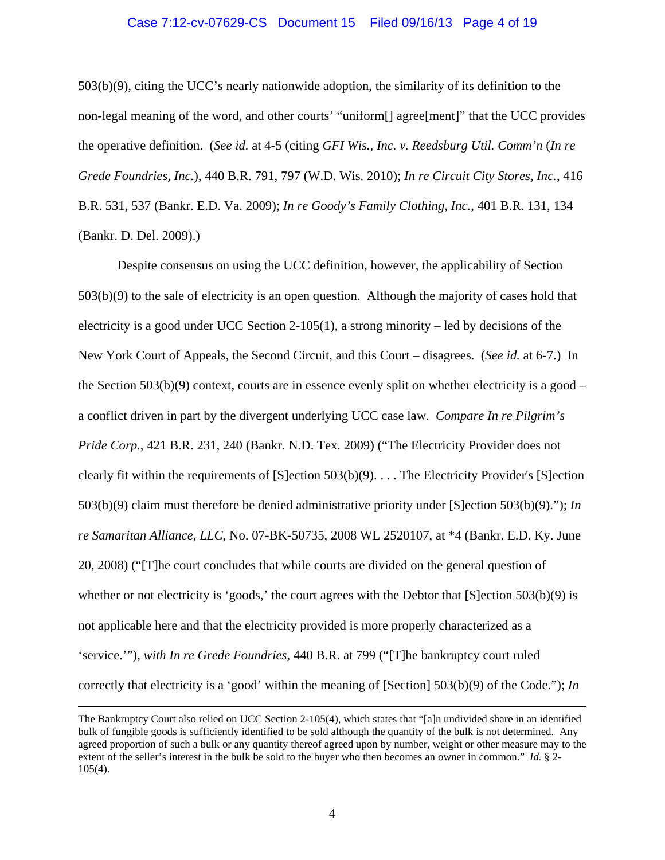### Case 7:12-cv-07629-CS Document 15 Filed 09/16/13 Page 4 of 19

503(b)(9), citing the UCC's nearly nationwide adoption, the similarity of its definition to the non-legal meaning of the word, and other courts' "uniform[] agree[ment]" that the UCC provides the operative definition. (*See id.* at 4-5 (citing *GFI Wis., Inc. v. Reedsburg Util. Comm'n* (*In re Grede Foundries, Inc.*), 440 B.R. 791, 797 (W.D. Wis. 2010); *In re Circuit City Stores, Inc.*, 416 B.R. 531, 537 (Bankr. E.D. Va. 2009); *In re Goody's Family Clothing, Inc.*, 401 B.R. 131, 134 (Bankr. D. Del. 2009).)

Despite consensus on using the UCC definition, however, the applicability of Section 503(b)(9) to the sale of electricity is an open question. Although the majority of cases hold that electricity is a good under UCC Section 2-105(1), a strong minority – led by decisions of the New York Court of Appeals, the Second Circuit, and this Court – disagrees. (*See id.* at 6-7.) In the Section  $503(b)(9)$  context, courts are in essence evenly split on whether electricity is a good – a conflict driven in part by the divergent underlying UCC case law. *Compare In re Pilgrim's Pride Corp.*, 421 B.R. 231, 240 (Bankr. N.D. Tex. 2009) ("The Electricity Provider does not clearly fit within the requirements of  $[S]$ ection 503(b)(9)... The Electricity Provider's  $[S]$ ection 503(b)(9) claim must therefore be denied administrative priority under [S]ection 503(b)(9)."); *In re Samaritan Alliance, LLC*, No. 07-BK-50735, 2008 WL 2520107, at \*4 (Bankr. E.D. Ky. June 20, 2008) ("[T]he court concludes that while courts are divided on the general question of whether or not electricity is 'goods,' the court agrees with the Debtor that [S]ection 503(b)(9) is not applicable here and that the electricity provided is more properly characterized as a 'service.'"), *with In re Grede Foundries*, 440 B.R. at 799 ("[T]he bankruptcy court ruled correctly that electricity is a 'good' within the meaning of [Section] 503(b)(9) of the Code."); *In* 

The Bankruptcy Court also relied on UCC Section 2-105(4), which states that "[a]n undivided share in an identified bulk of fungible goods is sufficiently identified to be sold although the quantity of the bulk is not determined. Any agreed proportion of such a bulk or any quantity thereof agreed upon by number, weight or other measure may to the extent of the seller's interest in the bulk be sold to the buyer who then becomes an owner in common." *Id.* § 2- 105(4).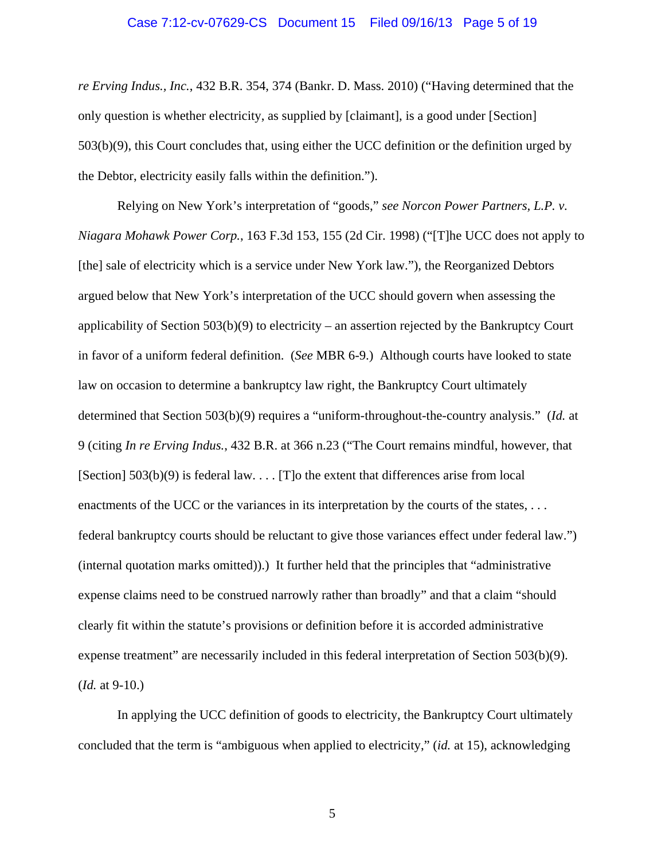#### Case 7:12-cv-07629-CS Document 15 Filed 09/16/13 Page 5 of 19

*re Erving Indus., Inc.*, 432 B.R. 354, 374 (Bankr. D. Mass. 2010) ("Having determined that the only question is whether electricity, as supplied by [claimant], is a good under [Section] 503(b)(9), this Court concludes that, using either the UCC definition or the definition urged by the Debtor, electricity easily falls within the definition.").

Relying on New York's interpretation of "goods," *see Norcon Power Partners, L.P. v. Niagara Mohawk Power Corp.*, 163 F.3d 153, 155 (2d Cir. 1998) ("[T]he UCC does not apply to [the] sale of electricity which is a service under New York law."), the Reorganized Debtors argued below that New York's interpretation of the UCC should govern when assessing the applicability of Section 503(b)(9) to electricity – an assertion rejected by the Bankruptcy Court in favor of a uniform federal definition. (*See* MBR 6-9.) Although courts have looked to state law on occasion to determine a bankruptcy law right, the Bankruptcy Court ultimately determined that Section 503(b)(9) requires a "uniform-throughout-the-country analysis." (*Id.* at 9 (citing *In re Erving Indus.*, 432 B.R. at 366 n.23 ("The Court remains mindful, however, that [Section]  $503(b)(9)$  is federal law. . . . [T]o the extent that differences arise from local enactments of the UCC or the variances in its interpretation by the courts of the states, ... federal bankruptcy courts should be reluctant to give those variances effect under federal law.") (internal quotation marks omitted)).) It further held that the principles that "administrative expense claims need to be construed narrowly rather than broadly" and that a claim "should clearly fit within the statute's provisions or definition before it is accorded administrative expense treatment" are necessarily included in this federal interpretation of Section 503(b)(9). (*Id.* at 9-10.)

In applying the UCC definition of goods to electricity, the Bankruptcy Court ultimately concluded that the term is "ambiguous when applied to electricity," (*id.* at 15), acknowledging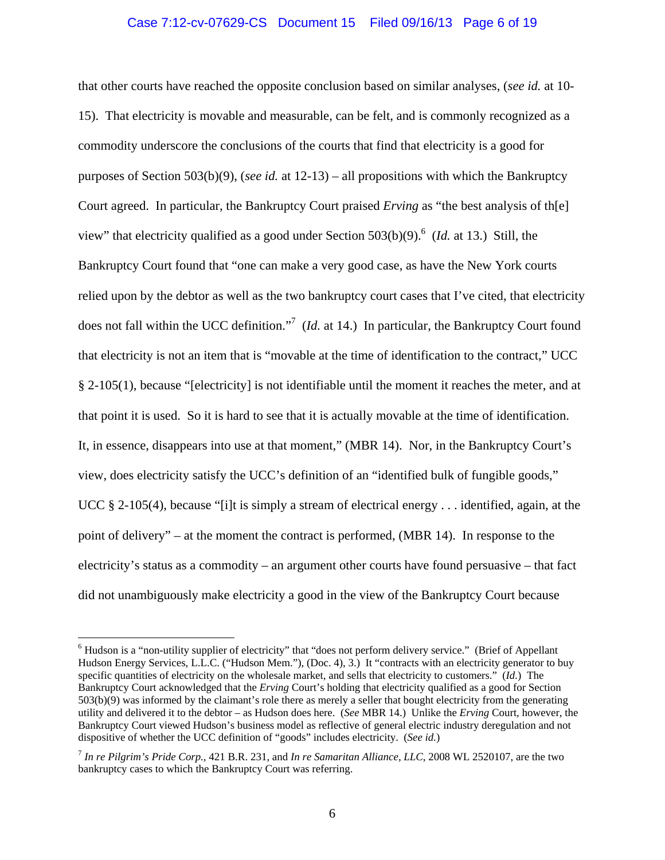## Case 7:12-cv-07629-CS Document 15 Filed 09/16/13 Page 6 of 19

that other courts have reached the opposite conclusion based on similar analyses, (*see id.* at 10- 15). That electricity is movable and measurable, can be felt, and is commonly recognized as a commodity underscore the conclusions of the courts that find that electricity is a good for purposes of Section 503(b)(9), (*see id.* at 12-13) – all propositions with which the Bankruptcy Court agreed. In particular, the Bankruptcy Court praised *Erving* as "the best analysis of th[e] view" that electricity qualified as a good under Section 503(b)(9).<sup>6</sup> (*Id.* at 13.) Still, the Bankruptcy Court found that "one can make a very good case, as have the New York courts relied upon by the debtor as well as the two bankruptcy court cases that I've cited, that electricity does not fall within the UCC definition."<sup>7</sup> (*Id.* at 14.) In particular, the Bankruptcy Court found that electricity is not an item that is "movable at the time of identification to the contract," UCC § 2-105(1), because "[electricity] is not identifiable until the moment it reaches the meter, and at that point it is used. So it is hard to see that it is actually movable at the time of identification. It, in essence, disappears into use at that moment," (MBR 14). Nor, in the Bankruptcy Court's view, does electricity satisfy the UCC's definition of an "identified bulk of fungible goods," UCC § 2-105(4), because "[i]t is simply a stream of electrical energy . . . identified, again, at the point of delivery" – at the moment the contract is performed, (MBR 14). In response to the electricity's status as a commodity – an argument other courts have found persuasive – that fact did not unambiguously make electricity a good in the view of the Bankruptcy Court because

<sup>&</sup>lt;sup>6</sup> Hudson is a "non-utility supplier of electricity" that "does not perform delivery service." (Brief of Appellant Hudson Energy Services, L.L.C. ("Hudson Mem."), (Doc. 4), 3.) It "contracts with an electricity generator to buy specific quantities of electricity on the wholesale market, and sells that electricity to customers." (*Id.*) The Bankruptcy Court acknowledged that the *Erving* Court's holding that electricity qualified as a good for Section 503(b)(9) was informed by the claimant's role there as merely a seller that bought electricity from the generating utility and delivered it to the debtor – as Hudson does here. (*See* MBR 14.) Unlike the *Erving* Court, however, the Bankruptcy Court viewed Hudson's business model as reflective of general electric industry deregulation and not dispositive of whether the UCC definition of "goods" includes electricity. (*See id.*)

<sup>7</sup> *In re Pilgrim's Pride Corp.*, 421 B.R. 231, and *In re Samaritan Alliance, LLC*, 2008 WL 2520107, are the two bankruptcy cases to which the Bankruptcy Court was referring.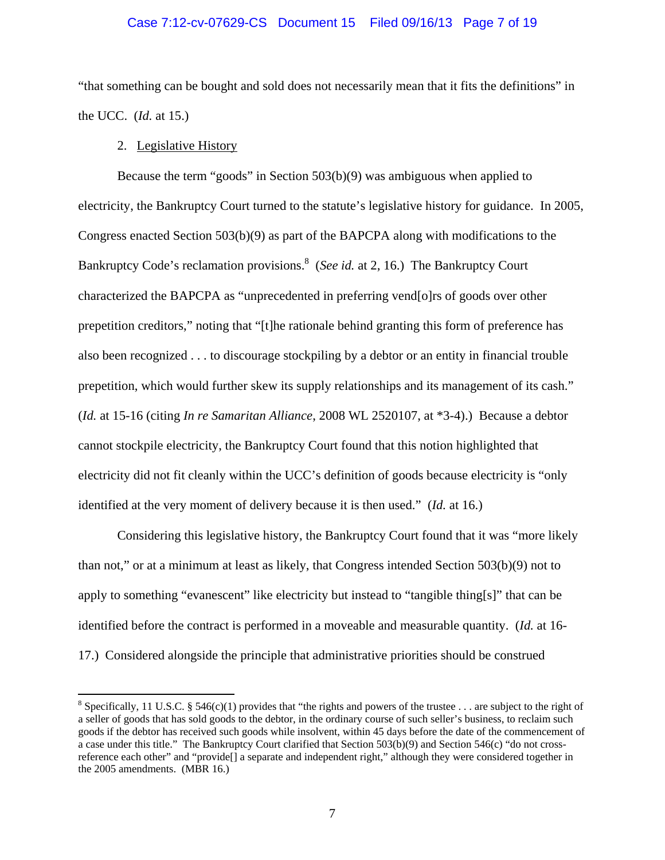### Case 7:12-cv-07629-CS Document 15 Filed 09/16/13 Page 7 of 19

"that something can be bought and sold does not necessarily mean that it fits the definitions" in the UCC. (*Id.* at 15.)

2. Legislative History

1

Because the term "goods" in Section 503(b)(9) was ambiguous when applied to electricity, the Bankruptcy Court turned to the statute's legislative history for guidance. In 2005, Congress enacted Section 503(b)(9) as part of the BAPCPA along with modifications to the Bankruptcy Code's reclamation provisions.<sup>8</sup> (*See id.* at 2, 16.) The Bankruptcy Court characterized the BAPCPA as "unprecedented in preferring vend[o]rs of goods over other prepetition creditors," noting that "[t]he rationale behind granting this form of preference has also been recognized . . . to discourage stockpiling by a debtor or an entity in financial trouble prepetition, which would further skew its supply relationships and its management of its cash." (*Id.* at 15-16 (citing *In re Samaritan Alliance*, 2008 WL 2520107, at \*3-4).) Because a debtor cannot stockpile electricity, the Bankruptcy Court found that this notion highlighted that electricity did not fit cleanly within the UCC's definition of goods because electricity is "only identified at the very moment of delivery because it is then used." (*Id.* at 16.)

Considering this legislative history, the Bankruptcy Court found that it was "more likely than not," or at a minimum at least as likely, that Congress intended Section 503(b)(9) not to apply to something "evanescent" like electricity but instead to "tangible thing[s]" that can be identified before the contract is performed in a moveable and measurable quantity. (*Id.* at 16- 17.) Considered alongside the principle that administrative priorities should be construed

<sup>&</sup>lt;sup>8</sup> Specifically, 11 U.S.C. § 546(c)(1) provides that "the rights and powers of the trustee . . . are subject to the right of a seller of goods that has sold goods to the debtor, in the ordinary course of such seller's business, to reclaim such goods if the debtor has received such goods while insolvent, within 45 days before the date of the commencement of a case under this title." The Bankruptcy Court clarified that Section 503(b)(9) and Section 546(c) "do not crossreference each other" and "provide[] a separate and independent right," although they were considered together in the 2005 amendments. (MBR 16.)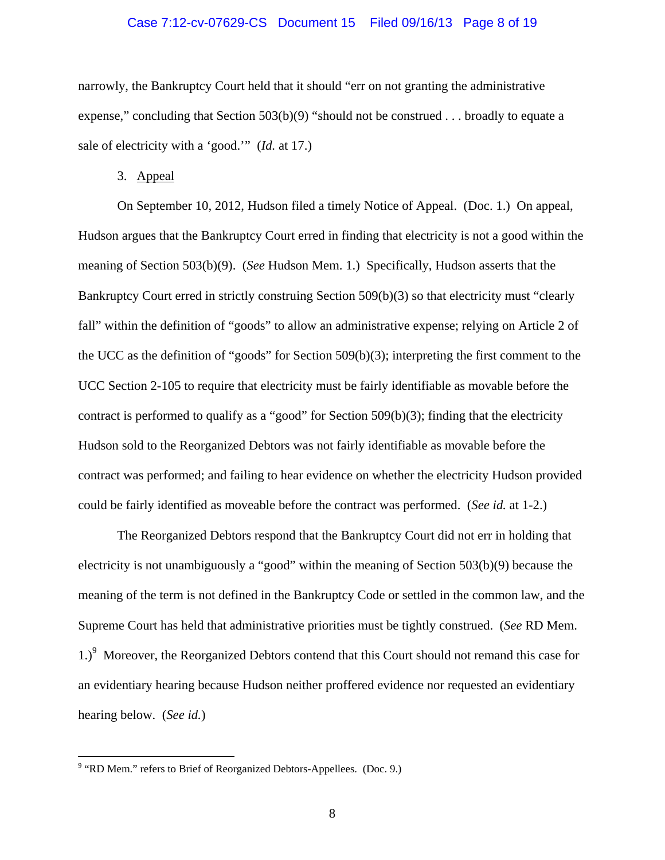### Case 7:12-cv-07629-CS Document 15 Filed 09/16/13 Page 8 of 19

narrowly, the Bankruptcy Court held that it should "err on not granting the administrative expense," concluding that Section  $503(b)(9)$  "should not be construed . . . broadly to equate a sale of electricity with a 'good.'" (*Id.* at 17.)

3. Appeal

On September 10, 2012, Hudson filed a timely Notice of Appeal. (Doc. 1.) On appeal, Hudson argues that the Bankruptcy Court erred in finding that electricity is not a good within the meaning of Section 503(b)(9). (*See* Hudson Mem. 1.) Specifically, Hudson asserts that the Bankruptcy Court erred in strictly construing Section 509(b)(3) so that electricity must "clearly fall" within the definition of "goods" to allow an administrative expense; relying on Article 2 of the UCC as the definition of "goods" for Section 509(b)(3); interpreting the first comment to the UCC Section 2-105 to require that electricity must be fairly identifiable as movable before the contract is performed to qualify as a "good" for Section  $509(b)(3)$ ; finding that the electricity Hudson sold to the Reorganized Debtors was not fairly identifiable as movable before the contract was performed; and failing to hear evidence on whether the electricity Hudson provided could be fairly identified as moveable before the contract was performed. (*See id.* at 1-2.)

The Reorganized Debtors respond that the Bankruptcy Court did not err in holding that electricity is not unambiguously a "good" within the meaning of Section 503(b)(9) because the meaning of the term is not defined in the Bankruptcy Code or settled in the common law, and the Supreme Court has held that administrative priorities must be tightly construed. (*See* RD Mem. 1.)<sup>9</sup> Moreover, the Reorganized Debtors contend that this Court should not remand this case for an evidentiary hearing because Hudson neither proffered evidence nor requested an evidentiary hearing below. (*See id.*)

<u>.</u>

<sup>&</sup>lt;sup>9</sup> "RD Mem." refers to Brief of Reorganized Debtors-Appellees. (Doc. 9.)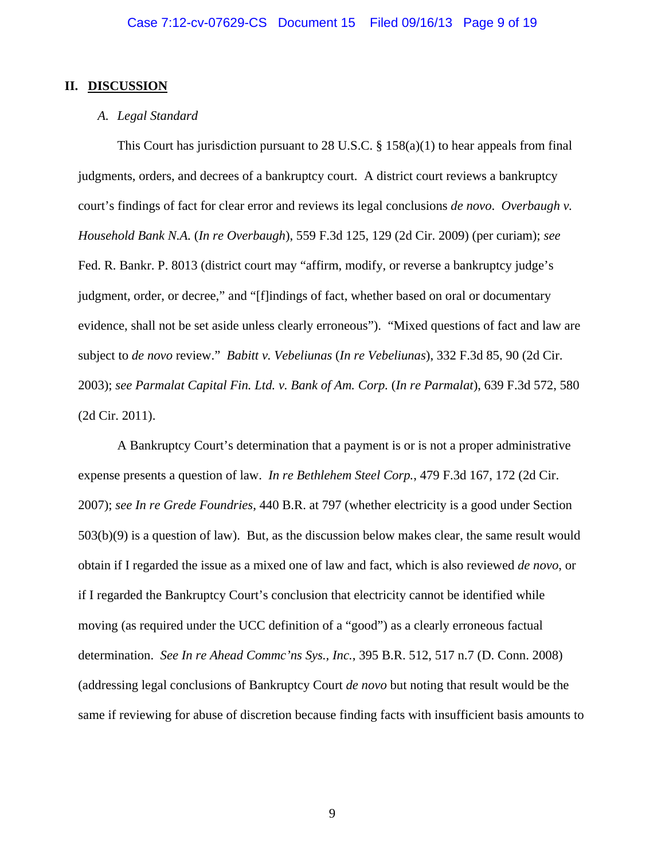### **II. DISCUSSION**

### *A. Legal Standard*

This Court has jurisdiction pursuant to 28 U.S.C.  $\S$  158(a)(1) to hear appeals from final judgments, orders, and decrees of a bankruptcy court. A district court reviews a bankruptcy court's findings of fact for clear error and reviews its legal conclusions *de novo*. *Overbaugh v. Household Bank N.A.* (*In re Overbaugh*), 559 F.3d 125, 129 (2d Cir. 2009) (per curiam); *see* Fed. R. Bankr. P. 8013 (district court may "affirm, modify, or reverse a bankruptcy judge's judgment, order, or decree," and "[f]indings of fact, whether based on oral or documentary evidence, shall not be set aside unless clearly erroneous"). "Mixed questions of fact and law are subject to *de novo* review." *Babitt v. Vebeliunas* (*In re Vebeliunas*), 332 F.3d 85, 90 (2d Cir. 2003); *see Parmalat Capital Fin. Ltd. v. Bank of Am. Corp.* (*In re Parmalat*), 639 F.3d 572, 580 (2d Cir. 2011).

A Bankruptcy Court's determination that a payment is or is not a proper administrative expense presents a question of law. *In re Bethlehem Steel Corp.*, 479 F.3d 167, 172 (2d Cir. 2007); *see In re Grede Foundries*, 440 B.R. at 797 (whether electricity is a good under Section 503(b)(9) is a question of law). But, as the discussion below makes clear, the same result would obtain if I regarded the issue as a mixed one of law and fact, which is also reviewed *de novo*, or if I regarded the Bankruptcy Court's conclusion that electricity cannot be identified while moving (as required under the UCC definition of a "good") as a clearly erroneous factual determination. *See In re Ahead Commc'ns Sys., Inc.*, 395 B.R. 512, 517 n.7 (D. Conn. 2008) (addressing legal conclusions of Bankruptcy Court *de novo* but noting that result would be the same if reviewing for abuse of discretion because finding facts with insufficient basis amounts to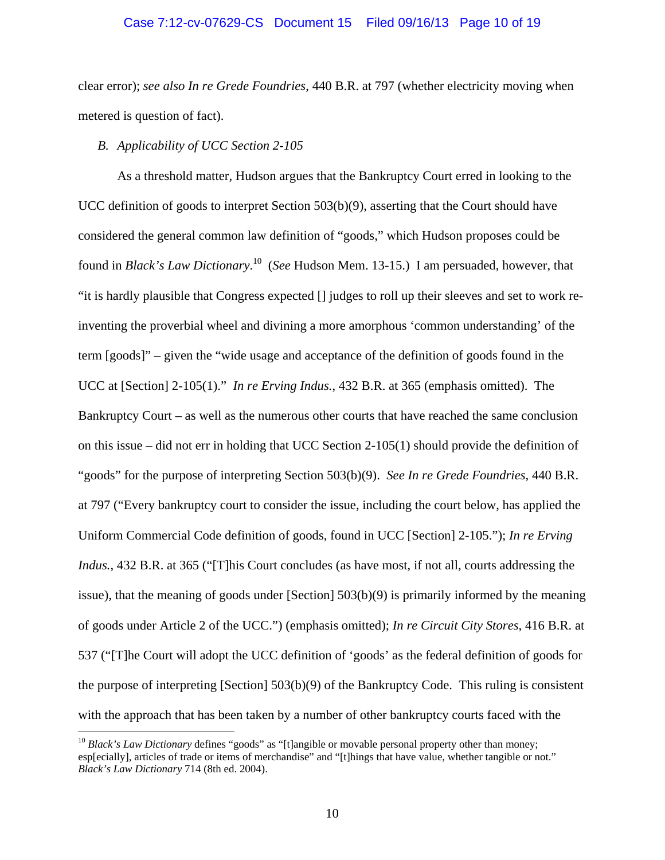### Case 7:12-cv-07629-CS Document 15 Filed 09/16/13 Page 10 of 19

clear error); *see also In re Grede Foundries*, 440 B.R. at 797 (whether electricity moving when metered is question of fact).

## *B. Applicability of UCC Section 2-105*

 $\overline{a}$ 

As a threshold matter, Hudson argues that the Bankruptcy Court erred in looking to the UCC definition of goods to interpret Section 503(b)(9), asserting that the Court should have considered the general common law definition of "goods," which Hudson proposes could be found in *Black's Law Dictionary*. 10 (*See* Hudson Mem. 13-15.) I am persuaded, however, that "it is hardly plausible that Congress expected [] judges to roll up their sleeves and set to work reinventing the proverbial wheel and divining a more amorphous 'common understanding' of the term [goods]" – given the "wide usage and acceptance of the definition of goods found in the UCC at [Section] 2-105(1)." *In re Erving Indus.*, 432 B.R. at 365 (emphasis omitted). The Bankruptcy Court – as well as the numerous other courts that have reached the same conclusion on this issue – did not err in holding that UCC Section 2-105(1) should provide the definition of "goods" for the purpose of interpreting Section 503(b)(9). *See In re Grede Foundries*, 440 B.R. at 797 ("Every bankruptcy court to consider the issue, including the court below, has applied the Uniform Commercial Code definition of goods, found in UCC [Section] 2-105."); *In re Erving Indus.*, 432 B.R. at 365 ("[T]his Court concludes (as have most, if not all, courts addressing the issue), that the meaning of goods under [Section] 503(b)(9) is primarily informed by the meaning of goods under Article 2 of the UCC.") (emphasis omitted); *In re Circuit City Stores*, 416 B.R. at 537 ("[T]he Court will adopt the UCC definition of 'goods' as the federal definition of goods for the purpose of interpreting [Section] 503(b)(9) of the Bankruptcy Code. This ruling is consistent with the approach that has been taken by a number of other bankruptcy courts faced with the

<sup>&</sup>lt;sup>10</sup> *Black's Law Dictionary* defines "goods" as "[t]angible or movable personal property other than money; esp[ecially], articles of trade or items of merchandise" and "[t]hings that have value, whether tangible or not." *Black's Law Dictionary* 714 (8th ed. 2004).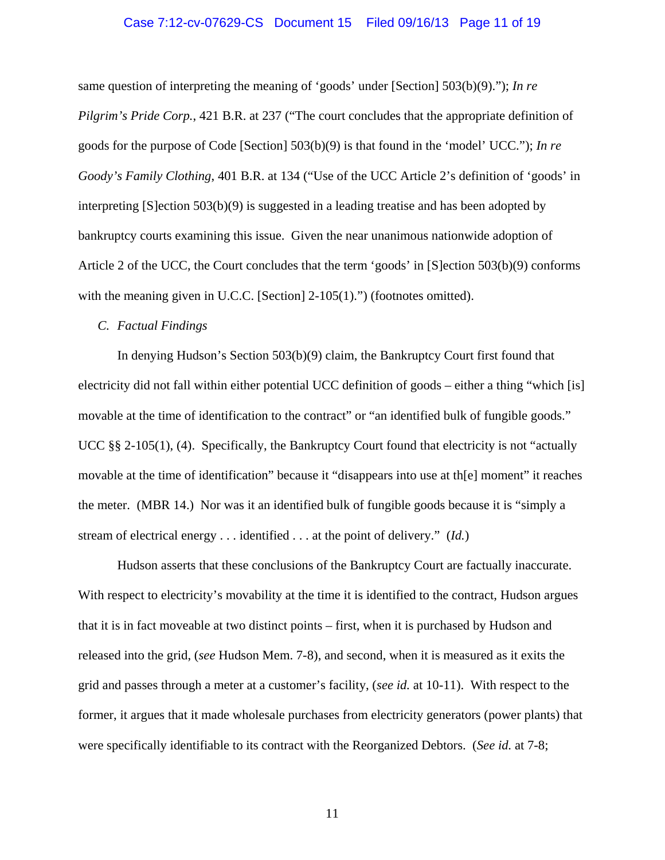# Case 7:12-cv-07629-CS Document 15 Filed 09/16/13 Page 11 of 19

same question of interpreting the meaning of 'goods' under [Section] 503(b)(9)."); *In re Pilgrim's Pride Corp.*, 421 B.R. at 237 ("The court concludes that the appropriate definition of goods for the purpose of Code [Section] 503(b)(9) is that found in the 'model' UCC."); *In re Goody's Family Clothing*, 401 B.R. at 134 ("Use of the UCC Article 2's definition of 'goods' in interpreting [S]ection 503(b)(9) is suggested in a leading treatise and has been adopted by bankruptcy courts examining this issue. Given the near unanimous nationwide adoption of Article 2 of the UCC, the Court concludes that the term 'goods' in [S]ection 503(b)(9) conforms with the meaning given in U.C.C. [Section] 2-105(1).") (footnotes omitted).

## *C. Factual Findings*

In denying Hudson's Section 503(b)(9) claim, the Bankruptcy Court first found that electricity did not fall within either potential UCC definition of goods – either a thing "which [is] movable at the time of identification to the contract" or "an identified bulk of fungible goods." UCC §§ 2-105(1), (4). Specifically, the Bankruptcy Court found that electricity is not "actually movable at the time of identification" because it "disappears into use at th[e] moment" it reaches the meter. (MBR 14.) Nor was it an identified bulk of fungible goods because it is "simply a stream of electrical energy . . . identified . . . at the point of delivery." (*Id.*)

Hudson asserts that these conclusions of the Bankruptcy Court are factually inaccurate. With respect to electricity's movability at the time it is identified to the contract, Hudson argues that it is in fact moveable at two distinct points – first, when it is purchased by Hudson and released into the grid, (*see* Hudson Mem. 7-8), and second, when it is measured as it exits the grid and passes through a meter at a customer's facility, (*see id.* at 10-11). With respect to the former, it argues that it made wholesale purchases from electricity generators (power plants) that were specifically identifiable to its contract with the Reorganized Debtors. (*See id.* at 7-8;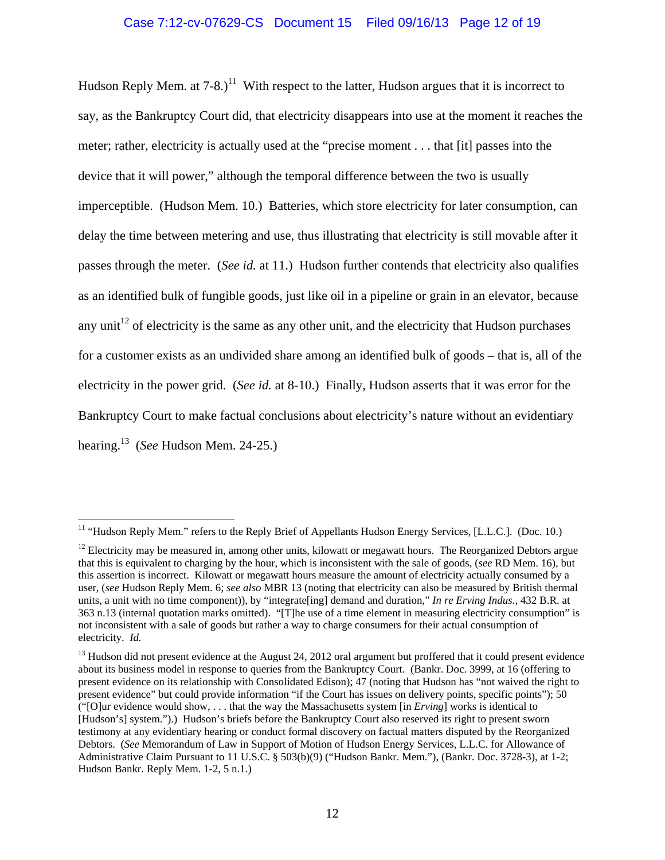Hudson Reply Mem. at  $7-8$ .)<sup>11</sup> With respect to the latter, Hudson argues that it is incorrect to say, as the Bankruptcy Court did, that electricity disappears into use at the moment it reaches the meter; rather, electricity is actually used at the "precise moment . . . that [it] passes into the device that it will power," although the temporal difference between the two is usually imperceptible. (Hudson Mem. 10.) Batteries, which store electricity for later consumption, can delay the time between metering and use, thus illustrating that electricity is still movable after it passes through the meter. (*See id.* at 11.) Hudson further contends that electricity also qualifies as an identified bulk of fungible goods, just like oil in a pipeline or grain in an elevator, because any unit<sup>12</sup> of electricity is the same as any other unit, and the electricity that Hudson purchases for a customer exists as an undivided share among an identified bulk of goods – that is, all of the electricity in the power grid. (*See id.* at 8-10.) Finally, Hudson asserts that it was error for the Bankruptcy Court to make factual conclusions about electricity's nature without an evidentiary hearing.13 (*See* Hudson Mem. 24-25.)

<sup>&</sup>lt;sup>11</sup> "Hudson Reply Mem." refers to the Reply Brief of Appellants Hudson Energy Services, [L.L.C.]. (Doc. 10.)

 $12$  Electricity may be measured in, among other units, kilowatt or megawatt hours. The Reorganized Debtors argue that this is equivalent to charging by the hour, which is inconsistent with the sale of goods, (*see* RD Mem. 16), but this assertion is incorrect. Kilowatt or megawatt hours measure the amount of electricity actually consumed by a user, (*see* Hudson Reply Mem. 6; *see also* MBR 13 (noting that electricity can also be measured by British thermal units, a unit with no time component)), by "integrate[ing] demand and duration," *In re Erving Indus.*, 432 B.R. at 363 n.13 (internal quotation marks omitted). "[T]he use of a time element in measuring electricity consumption" is not inconsistent with a sale of goods but rather a way to charge consumers for their actual consumption of electricity. *Id.*

 $<sup>13</sup>$  Hudson did not present evidence at the August 24, 2012 oral argument but proffered that it could present evidence</sup> about its business model in response to queries from the Bankruptcy Court. (Bankr. Doc. 3999, at 16 (offering to present evidence on its relationship with Consolidated Edison); 47 (noting that Hudson has "not waived the right to present evidence" but could provide information "if the Court has issues on delivery points, specific points"); 50 ("[O]ur evidence would show, . . . that the way the Massachusetts system [in *Erving*] works is identical to [Hudson's] system.").) Hudson's briefs before the Bankruptcy Court also reserved its right to present sworn testimony at any evidentiary hearing or conduct formal discovery on factual matters disputed by the Reorganized Debtors. (*See* Memorandum of Law in Support of Motion of Hudson Energy Services, L.L.C. for Allowance of Administrative Claim Pursuant to 11 U.S.C. § 503(b)(9) ("Hudson Bankr. Mem."), (Bankr. Doc. 3728-3), at 1-2; Hudson Bankr. Reply Mem. 1-2, 5 n.1.)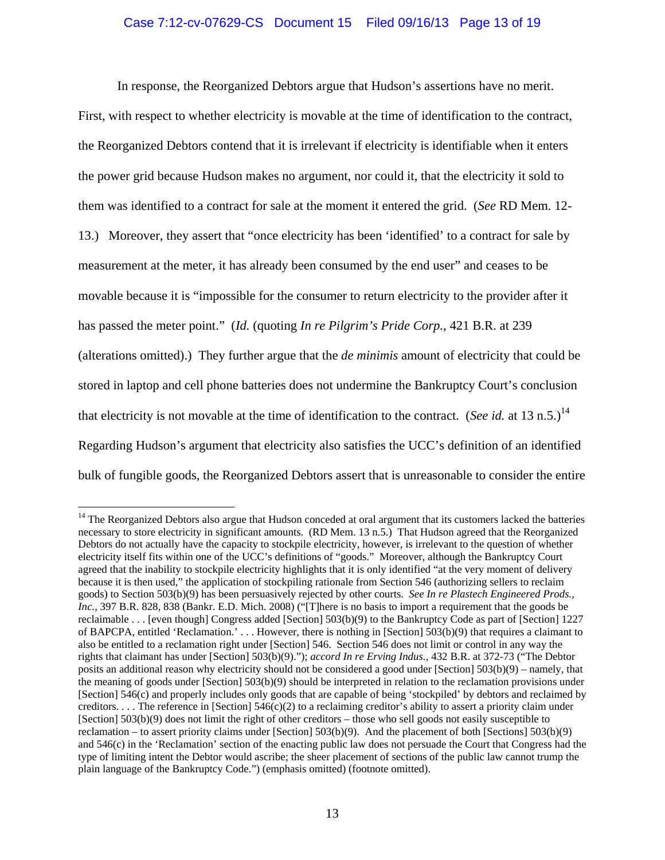# Case 7:12-cv-07629-CS Document 15 Filed 09/16/13 Page 13 of 19

In response, the Reorganized Debtors argue that Hudson's assertions have no merit.

First, with respect to whether electricity is movable at the time of identification to the contract, the Reorganized Debtors contend that it is irrelevant if electricity is identifiable when it enters the power grid because Hudson makes no argument, nor could it, that the electricity it sold to them was identified to a contract for sale at the moment it entered the grid. (*See* RD Mem. 12- 13.) Moreover, they assert that "once electricity has been 'identified' to a contract for sale by measurement at the meter, it has already been consumed by the end user" and ceases to be movable because it is "impossible for the consumer to return electricity to the provider after it has passed the meter point." (*Id.* (quoting *In re Pilgrim's Pride Corp.*, 421 B.R. at 239 (alterations omitted).) They further argue that the *de minimis* amount of electricity that could be stored in laptop and cell phone batteries does not undermine the Bankruptcy Court's conclusion that electricity is not movable at the time of identification to the contract. (*See id.* at 13 n.5.)<sup>14</sup> Regarding Hudson's argument that electricity also satisfies the UCC's definition of an identified bulk of fungible goods, the Reorganized Debtors assert that is unreasonable to consider the entire

<sup>&</sup>lt;sup>14</sup> The Reorganized Debtors also argue that Hudson conceded at oral argument that its customers lacked the batteries necessary to store electricity in significant amounts. (RD Mem. 13 n.5.) That Hudson agreed that the Reorganized Debtors do not actually have the capacity to stockpile electricity, however, is irrelevant to the question of whether electricity itself fits within one of the UCC's definitions of "goods." Moreover, although the Bankruptcy Court agreed that the inability to stockpile electricity highlights that it is only identified "at the very moment of delivery because it is then used," the application of stockpiling rationale from Section 546 (authorizing sellers to reclaim goods) to Section 503(b)(9) has been persuasively rejected by other courts. *See In re Plastech Engineered Prods., Inc.*, 397 B.R. 828, 838 (Bankr. E.D. Mich. 2008) ("[T]here is no basis to import a requirement that the goods be reclaimable . . . [even though] Congress added [Section] 503(b)(9) to the Bankruptcy Code as part of [Section] 1227 of BAPCPA, entitled 'Reclamation.' . . . However, there is nothing in [Section] 503(b)(9) that requires a claimant to also be entitled to a reclamation right under [Section] 546. Section 546 does not limit or control in any way the rights that claimant has under [Section] 503(b)(9)."); *accord In re Erving Indus.*, 432 B.R. at 372-73 ("The Debtor posits an additional reason why electricity should not be considered a good under [Section] 503(b)(9) – namely, that the meaning of goods under [Section] 503(b)(9) should be interpreted in relation to the reclamation provisions under [Section] 546(c) and properly includes only goods that are capable of being 'stockpiled' by debtors and reclaimed by creditors.  $\dots$  The reference in [Section] 546(c)(2) to a reclaiming creditor's ability to assert a priority claim under [Section] 503(b)(9) does not limit the right of other creditors – those who sell goods not easily susceptible to reclamation – to assert priority claims under [Section] 503(b)(9). And the placement of both [Sections] 503(b)(9) and 546(c) in the 'Reclamation' section of the enacting public law does not persuade the Court that Congress had the type of limiting intent the Debtor would ascribe; the sheer placement of sections of the public law cannot trump the plain language of the Bankruptcy Code.") (emphasis omitted) (footnote omitted).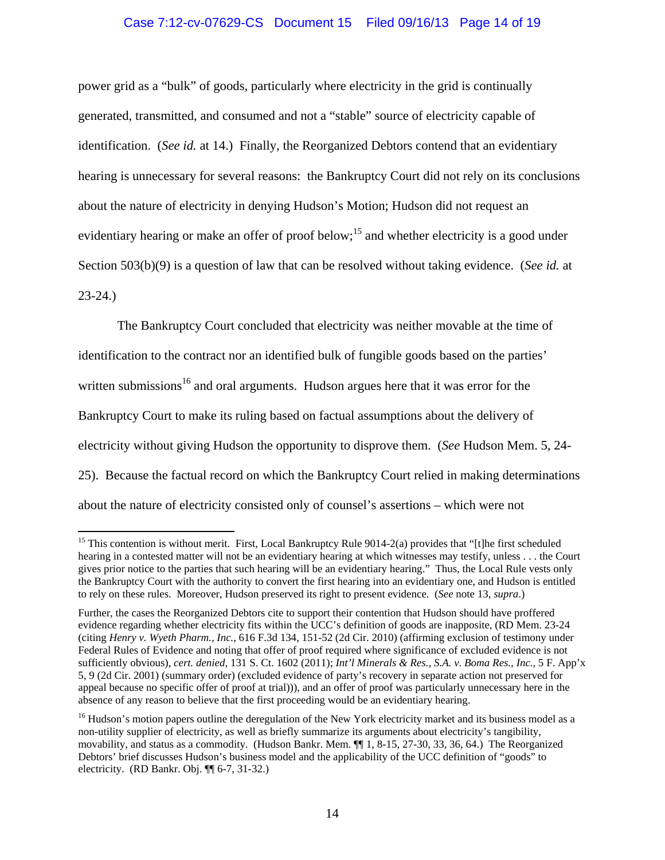# Case 7:12-cv-07629-CS Document 15 Filed 09/16/13 Page 14 of 19

power grid as a "bulk" of goods, particularly where electricity in the grid is continually generated, transmitted, and consumed and not a "stable" source of electricity capable of identification. (*See id.* at 14.) Finally, the Reorganized Debtors contend that an evidentiary hearing is unnecessary for several reasons: the Bankruptcy Court did not rely on its conclusions about the nature of electricity in denying Hudson's Motion; Hudson did not request an evidentiary hearing or make an offer of proof below;<sup>15</sup> and whether electricity is a good under Section 503(b)(9) is a question of law that can be resolved without taking evidence. (*See id.* at 23-24.)

The Bankruptcy Court concluded that electricity was neither movable at the time of identification to the contract nor an identified bulk of fungible goods based on the parties' written submissions<sup>16</sup> and oral arguments. Hudson argues here that it was error for the Bankruptcy Court to make its ruling based on factual assumptions about the delivery of electricity without giving Hudson the opportunity to disprove them. (*See* Hudson Mem. 5, 24- 25). Because the factual record on which the Bankruptcy Court relied in making determinations about the nature of electricity consisted only of counsel's assertions – which were not

<sup>&</sup>lt;sup>15</sup> This contention is without merit. First, Local Bankruptcy Rule 9014-2(a) provides that "[t]he first scheduled hearing in a contested matter will not be an evidentiary hearing at which witnesses may testify, unless . . . the Court gives prior notice to the parties that such hearing will be an evidentiary hearing." Thus, the Local Rule vests only the Bankruptcy Court with the authority to convert the first hearing into an evidentiary one, and Hudson is entitled to rely on these rules. Moreover, Hudson preserved its right to present evidence. (*See* note 13, *supra*.)

Further, the cases the Reorganized Debtors cite to support their contention that Hudson should have proffered evidence regarding whether electricity fits within the UCC's definition of goods are inapposite, (RD Mem. 23-24 (citing *Henry v. Wyeth Pharm., Inc.*, 616 F.3d 134, 151-52 (2d Cir. 2010) (affirming exclusion of testimony under Federal Rules of Evidence and noting that offer of proof required where significance of excluded evidence is not sufficiently obvious), *cert. denied*, 131 S. Ct. 1602 (2011); *Int'l Minerals & Res., S.A. v. Boma Res., Inc.*, 5 F. App'x 5, 9 (2d Cir. 2001) (summary order) (excluded evidence of party's recovery in separate action not preserved for appeal because no specific offer of proof at trial))), and an offer of proof was particularly unnecessary here in the absence of any reason to believe that the first proceeding would be an evidentiary hearing.

<sup>&</sup>lt;sup>16</sup> Hudson's motion papers outline the deregulation of the New York electricity market and its business model as a non-utility supplier of electricity, as well as briefly summarize its arguments about electricity's tangibility, movability, and status as a commodity. (Hudson Bankr. Mem. ¶¶ 1, 8-15, 27-30, 33, 36, 64.) The Reorganized Debtors' brief discusses Hudson's business model and the applicability of the UCC definition of "goods" to electricity. (RD Bankr. Obj. ¶¶ 6-7, 31-32.)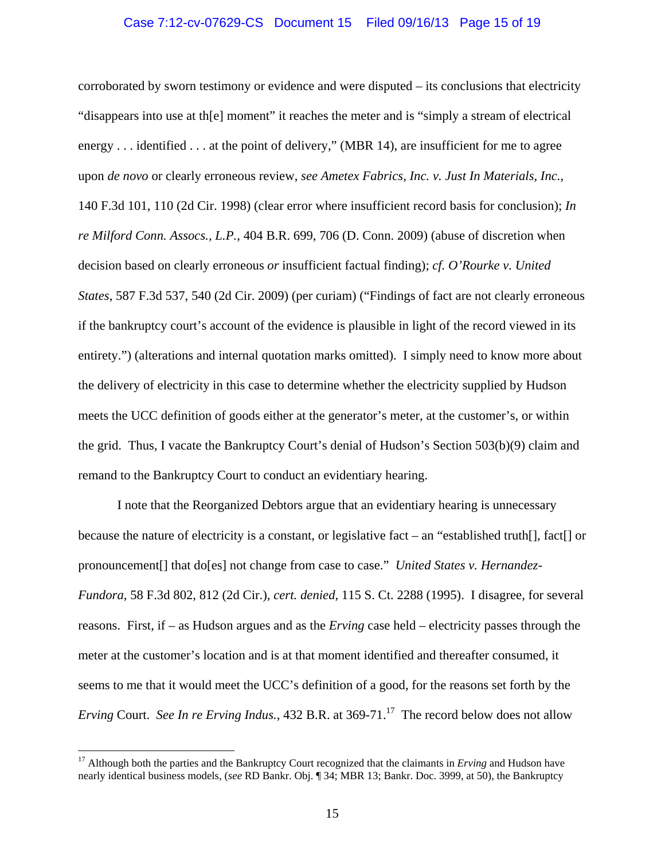# Case 7:12-cv-07629-CS Document 15 Filed 09/16/13 Page 15 of 19

corroborated by sworn testimony or evidence and were disputed – its conclusions that electricity "disappears into use at th[e] moment" it reaches the meter and is "simply a stream of electrical energy . . . identified . . . at the point of delivery," (MBR 14), are insufficient for me to agree upon *de novo* or clearly erroneous review, *see Ametex Fabrics, Inc. v. Just In Materials, Inc.*, 140 F.3d 101, 110 (2d Cir. 1998) (clear error where insufficient record basis for conclusion); *In re Milford Conn. Assocs., L.P.*, 404 B.R. 699, 706 (D. Conn. 2009) (abuse of discretion when decision based on clearly erroneous *or* insufficient factual finding); *cf. O'Rourke v. United States*, 587 F.3d 537, 540 (2d Cir. 2009) (per curiam) ("Findings of fact are not clearly erroneous if the bankruptcy court's account of the evidence is plausible in light of the record viewed in its entirety.") (alterations and internal quotation marks omitted). I simply need to know more about the delivery of electricity in this case to determine whether the electricity supplied by Hudson meets the UCC definition of goods either at the generator's meter, at the customer's, or within the grid. Thus, I vacate the Bankruptcy Court's denial of Hudson's Section 503(b)(9) claim and remand to the Bankruptcy Court to conduct an evidentiary hearing.

I note that the Reorganized Debtors argue that an evidentiary hearing is unnecessary because the nature of electricity is a constant, or legislative fact – an "established truth[], fact[] or pronouncement[] that do[es] not change from case to case." *United States v. Hernandez-Fundora*, 58 F.3d 802, 812 (2d Cir.), *cert. denied*, 115 S. Ct. 2288 (1995). I disagree, for several reasons. First, if – as Hudson argues and as the *Erving* case held – electricity passes through the meter at the customer's location and is at that moment identified and thereafter consumed, it seems to me that it would meet the UCC's definition of a good, for the reasons set forth by the *Erving* Court. *See In re Erving Indus.*, 432 B.R. at 369-71.<sup>17</sup> The record below does not allow

<sup>&</sup>lt;sup>17</sup> Although both the parties and the Bankruptcy Court recognized that the claimants in *Erving* and Hudson have nearly identical business models, (*see* RD Bankr. Obj. ¶ 34; MBR 13; Bankr. Doc. 3999, at 50), the Bankruptcy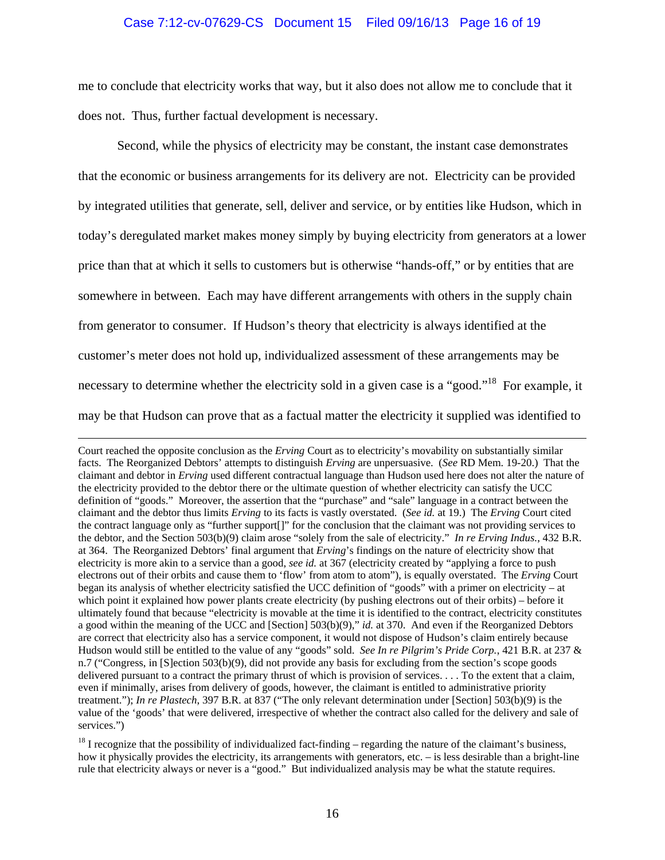## Case 7:12-cv-07629-CS Document 15 Filed 09/16/13 Page 16 of 19

me to conclude that electricity works that way, but it also does not allow me to conclude that it does not. Thus, further factual development is necessary.

Second, while the physics of electricity may be constant, the instant case demonstrates that the economic or business arrangements for its delivery are not. Electricity can be provided by integrated utilities that generate, sell, deliver and service, or by entities like Hudson, which in today's deregulated market makes money simply by buying electricity from generators at a lower price than that at which it sells to customers but is otherwise "hands-off," or by entities that are somewhere in between. Each may have different arrangements with others in the supply chain from generator to consumer. If Hudson's theory that electricity is always identified at the customer's meter does not hold up, individualized assessment of these arrangements may be necessary to determine whether the electricity sold in a given case is a "good."<sup>18</sup> For example, it may be that Hudson can prove that as a factual matter the electricity it supplied was identified to

Court reached the opposite conclusion as the *Erving* Court as to electricity's movability on substantially similar facts. The Reorganized Debtors' attempts to distinguish *Erving* are unpersuasive. (*See* RD Mem. 19-20.) That the claimant and debtor in *Erving* used different contractual language than Hudson used here does not alter the nature of the electricity provided to the debtor there or the ultimate question of whether electricity can satisfy the UCC definition of "goods." Moreover, the assertion that the "purchase" and "sale" language in a contract between the claimant and the debtor thus limits *Erving* to its facts is vastly overstated. (*See id.* at 19.) The *Erving* Court cited the contract language only as "further support[]" for the conclusion that the claimant was not providing services to the debtor, and the Section 503(b)(9) claim arose "solely from the sale of electricity." *In re Erving Indus.*, 432 B.R. at 364. The Reorganized Debtors' final argument that *Erving*'s findings on the nature of electricity show that electricity is more akin to a service than a good, *see id.* at 367 (electricity created by "applying a force to push electrons out of their orbits and cause them to 'flow' from atom to atom"), is equally overstated. The *Erving* Court began its analysis of whether electricity satisfied the UCC definition of "goods" with a primer on electricity – at which point it explained how power plants create electricity (by pushing electrons out of their orbits) – before it ultimately found that because "electricity is movable at the time it is identified to the contract, electricity constitutes a good within the meaning of the UCC and [Section] 503(b)(9)," *id.* at 370. And even if the Reorganized Debtors are correct that electricity also has a service component, it would not dispose of Hudson's claim entirely because Hudson would still be entitled to the value of any "goods" sold. *See In re Pilgrim's Pride Corp.*, 421 B.R. at 237 & n.7 ("Congress, in [S]ection 503(b)(9), did not provide any basis for excluding from the section's scope goods delivered pursuant to a contract the primary thrust of which is provision of services. . . . To the extent that a claim, even if minimally, arises from delivery of goods, however, the claimant is entitled to administrative priority treatment."); *In re Plastech*, 397 B.R. at 837 ("The only relevant determination under [Section] 503(b)(9) is the value of the 'goods' that were delivered, irrespective of whether the contract also called for the delivery and sale of services.")

 $18$  I recognize that the possibility of individualized fact-finding – regarding the nature of the claimant's business, how it physically provides the electricity, its arrangements with generators, etc. – is less desirable than a bright-line rule that electricity always or never is a "good." But individualized analysis may be what the statute requires.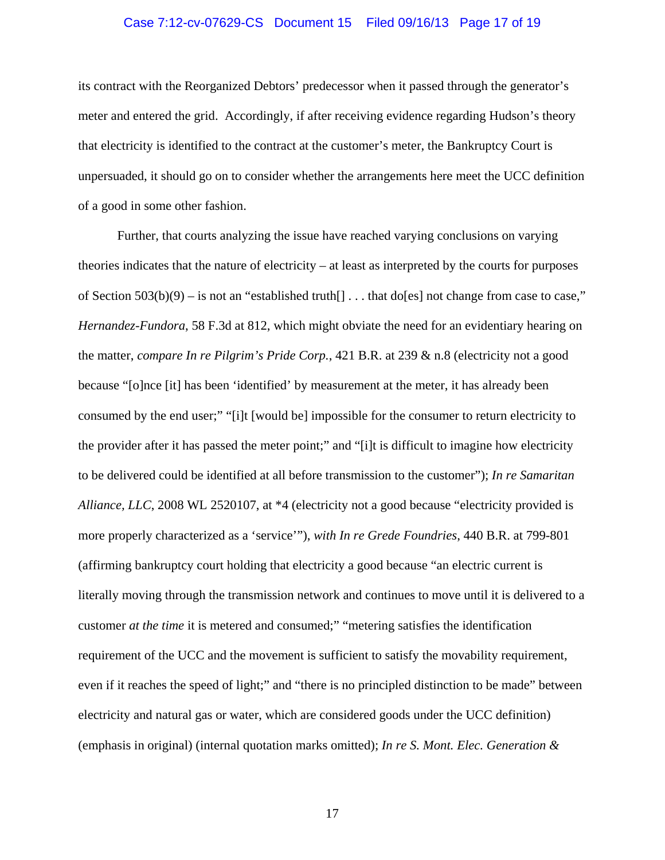# Case 7:12-cv-07629-CS Document 15 Filed 09/16/13 Page 17 of 19

its contract with the Reorganized Debtors' predecessor when it passed through the generator's meter and entered the grid. Accordingly, if after receiving evidence regarding Hudson's theory that electricity is identified to the contract at the customer's meter, the Bankruptcy Court is unpersuaded, it should go on to consider whether the arrangements here meet the UCC definition of a good in some other fashion.

Further, that courts analyzing the issue have reached varying conclusions on varying theories indicates that the nature of electricity – at least as interpreted by the courts for purposes of Section  $503(b)(9) -$  is not an "established truth[] ... that do[es] not change from case to case," *Hernandez-Fundora*, 58 F.3d at 812, which might obviate the need for an evidentiary hearing on the matter, *compare In re Pilgrim's Pride Corp.*, 421 B.R. at 239 & n.8 (electricity not a good because "[o]nce [it] has been 'identified' by measurement at the meter, it has already been consumed by the end user;" "[i]t [would be] impossible for the consumer to return electricity to the provider after it has passed the meter point;" and "[i]t is difficult to imagine how electricity to be delivered could be identified at all before transmission to the customer"); *In re Samaritan Alliance, LLC*, 2008 WL 2520107, at \*4 (electricity not a good because "electricity provided is more properly characterized as a 'service'"), *with In re Grede Foundries*, 440 B.R. at 799-801 (affirming bankruptcy court holding that electricity a good because "an electric current is literally moving through the transmission network and continues to move until it is delivered to a customer *at the time* it is metered and consumed;" "metering satisfies the identification requirement of the UCC and the movement is sufficient to satisfy the movability requirement, even if it reaches the speed of light;" and "there is no principled distinction to be made" between electricity and natural gas or water, which are considered goods under the UCC definition) (emphasis in original) (internal quotation marks omitted); *In re S. Mont. Elec. Generation &*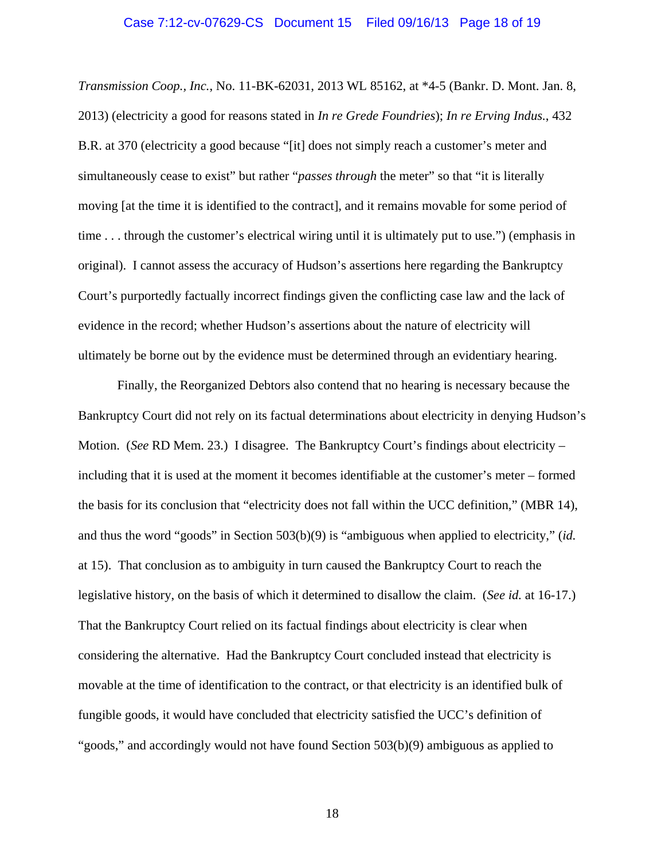### Case 7:12-cv-07629-CS Document 15 Filed 09/16/13 Page 18 of 19

*Transmission Coop., Inc.*, No. 11-BK-62031, 2013 WL 85162, at \*4-5 (Bankr. D. Mont. Jan. 8, 2013) (electricity a good for reasons stated in *In re Grede Foundries*); *In re Erving Indus.*, 432 B.R. at 370 (electricity a good because "[it] does not simply reach a customer's meter and simultaneously cease to exist" but rather "*passes through* the meter" so that "it is literally moving [at the time it is identified to the contract], and it remains movable for some period of time . . . through the customer's electrical wiring until it is ultimately put to use.") (emphasis in original). I cannot assess the accuracy of Hudson's assertions here regarding the Bankruptcy Court's purportedly factually incorrect findings given the conflicting case law and the lack of evidence in the record; whether Hudson's assertions about the nature of electricity will ultimately be borne out by the evidence must be determined through an evidentiary hearing.

Finally, the Reorganized Debtors also contend that no hearing is necessary because the Bankruptcy Court did not rely on its factual determinations about electricity in denying Hudson's Motion. (*See* RD Mem. 23.) I disagree. The Bankruptcy Court's findings about electricity – including that it is used at the moment it becomes identifiable at the customer's meter – formed the basis for its conclusion that "electricity does not fall within the UCC definition," (MBR 14), and thus the word "goods" in Section 503(b)(9) is "ambiguous when applied to electricity," (*id.* at 15). That conclusion as to ambiguity in turn caused the Bankruptcy Court to reach the legislative history, on the basis of which it determined to disallow the claim. (*See id.* at 16-17.) That the Bankruptcy Court relied on its factual findings about electricity is clear when considering the alternative. Had the Bankruptcy Court concluded instead that electricity is movable at the time of identification to the contract, or that electricity is an identified bulk of fungible goods, it would have concluded that electricity satisfied the UCC's definition of "goods," and accordingly would not have found Section 503(b)(9) ambiguous as applied to